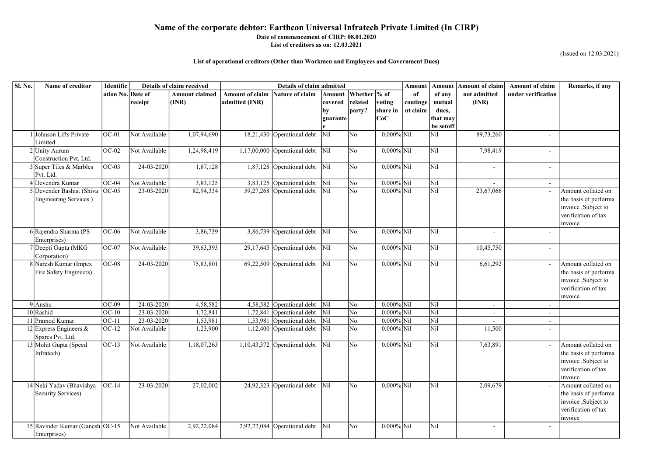| Sl. No.<br>Name of creditor                     | <b>Identific</b>   | Details of claim received   |                       | Details of claim admitted |                                                         |            |                     |                                |          | <b>Amount</b><br>Amount | <b>Amount of claim</b>   | <b>Amount of claim</b>   | Remarks, if any                             |
|-------------------------------------------------|--------------------|-----------------------------|-----------------------|---------------------------|---------------------------------------------------------|------------|---------------------|--------------------------------|----------|-------------------------|--------------------------|--------------------------|---------------------------------------------|
|                                                 | ation No. Date of  |                             | <b>Amount claimed</b> | <b>Amount of claim</b>    | <b>Nature of claim</b>                                  | Amount     | Whether \% of       |                                | -of      | of any                  | not admitted             | under verification       |                                             |
|                                                 |                    | receipt                     | $\vert$ (INR)         | admitted (INR)            |                                                         | covered    | related             | voting                         | continge | mutual                  | (INR)                    |                          |                                             |
|                                                 |                    |                             |                       |                           |                                                         | by         | party?              | share in                       | nt claim | dues,                   |                          |                          |                                             |
|                                                 |                    |                             |                       |                           |                                                         | guarante   |                     | CoC                            |          | that may<br>be setoff   |                          |                          |                                             |
| Johnson Lifts Private                           | $OC-01$            | Not Available               | 1,07,94,690           |                           | 18,21,430 Operational debt                              | Nil        | N <sub>o</sub>      | $0.000\%$ Nil                  |          | Nil                     | 89,73,260                | $\overline{\phantom{a}}$ |                                             |
| Limited                                         |                    |                             |                       |                           |                                                         |            |                     |                                |          |                         |                          |                          |                                             |
| 2 Unity Aurum                                   | $OC-02$            | Not Available               | 1,24,98,419           |                           | 1,17,00,000 Operational debt $\vert$ Nil                |            | No                  | $0.000\%$ Nil                  |          | Nil                     | 7,98,419                 | $\blacksquare$           |                                             |
| Construction Pvt. Ltd.                          |                    |                             |                       |                           |                                                         |            |                     |                                |          |                         |                          |                          |                                             |
| 3 Super Tiles & Marbles                         | $OC-03$            | $24-03-2020$                | 1,87,128              |                           | $1,87,128$ Operational debt                             | Nil        | No                  | $0.000\%$ Nil                  |          | Nil                     | $\blacksquare$           | $\overline{\phantom{a}}$ |                                             |
| Pvt. Ltd.                                       |                    |                             |                       |                           |                                                         |            |                     |                                |          |                         |                          |                          |                                             |
| IDevendra Kumar<br>5 Devender Bashist (Shiva    | $OC-04$<br>$OC-05$ | Not Available<br>23-03-2020 | 3,83,125<br>82,94,334 |                           | 3,83,125 Operational debt<br>59,27,268 Operational debt | Nil<br>Nil | No<br>No            | $0.000\%$ Nil<br>$0.000\%$ Nil |          | Nil<br>Nil              | 23,67,066                | $\sim$<br>$\sim$         | Amount collated on                          |
| Engineering Services)                           |                    |                             |                       |                           |                                                         |            |                     |                                |          |                         |                          |                          | the basis of performa                       |
|                                                 |                    |                             |                       |                           |                                                         |            |                     |                                |          |                         |                          |                          | invoice, Subject to                         |
|                                                 |                    |                             |                       |                           |                                                         |            |                     |                                |          |                         |                          |                          | verification of tax                         |
|                                                 |                    |                             |                       |                           |                                                         |            |                     |                                |          |                         |                          |                          | invoice                                     |
| 6 Rajendra Sharma (PS                           | $OC-06$            | Not Available               | 3,86,739              |                           | 3,86,739 Operational debt $\vert$ Nil                   |            | $\overline{\rm No}$ | $0.000\%$ Nil                  |          | Nil                     | $\blacksquare$           | $\overline{\phantom{a}}$ |                                             |
| Enterprises)                                    |                    |                             |                       |                           |                                                         |            |                     |                                |          |                         |                          |                          |                                             |
| 7 Deepti Gupta (MKG                             | $OC-07$            | Not Available               | 39,63,393             |                           | 29,17,643 Operational debt Nil                          |            | No                  | $0.000\%$ Nil                  |          | Nil                     | 10,45,750                | $\overline{\phantom{a}}$ |                                             |
| Corporation)                                    |                    |                             |                       |                           |                                                         |            |                     |                                |          | Nil                     |                          |                          |                                             |
| 8 Naresh Kumar (Impex<br>Fire Safety Engineers) | $OC-08$            | 24-03-2020                  | 75,83,801             |                           | 69,22,509 Operational debt $\vert$ Nil                  |            | $\overline{\rm No}$ | $0.000\%$ Nil                  |          |                         | 6,61,292                 | $\sim$                   | Amount collated on<br>the basis of performa |
|                                                 |                    |                             |                       |                           |                                                         |            |                     |                                |          |                         |                          |                          | invoice, Subject to                         |
|                                                 |                    |                             |                       |                           |                                                         |            |                     |                                |          |                         |                          |                          | verification of tax                         |
|                                                 |                    |                             |                       |                           |                                                         |            |                     |                                |          |                         |                          |                          | invoice                                     |
| $9$ Anshu                                       | $OC-09$            | 24-03-2020                  | 4,58,582              |                           | 4,58,582 Operational debt                               | Nil        | N <sub>o</sub>      | $0.000\%$ Nil                  |          | Nil                     | $\overline{\phantom{a}}$ | $\sim$                   |                                             |
| 10 Rashid                                       | $OC-10$            | 23-03-2020                  | 1,72,841              |                           | 1,72,841 Operational debt                               | Nil        | No                  | $0.000\%$ Nil                  |          | Nil                     | $\overline{\phantom{a}}$ | $\overline{\phantom{a}}$ |                                             |
| 11 Pramod Kumar                                 | $OC-11$            | 23-03-2020                  | 1,53,981              |                           | 1,53,981 Operational debt                               | Nil        | No                  | $0.000\%$ Nil                  |          | Nil                     |                          | $\overline{\phantom{a}}$ |                                             |
| 12 Express Engineers $\&$                       | $OC-12$            | Not Available               | 1,23,900              |                           | 1,12,400   Operational debt   Nil                       |            | $\overline{\rm No}$ | $0.000\%$ Nil                  |          | Nil                     | 11,500                   |                          |                                             |
| Spares Pvt. Ltd.                                | $OC-13$            | Not Available               |                       |                           | 1,10,43,372 Operational debt $\vert$ Nil                |            | No                  | $0.000\%$ Nil                  |          | Nil                     |                          |                          | Amount collated on                          |
| 13 Mohit Gupta (Speed<br>Infratech)             |                    |                             | 1,18,07,263           |                           |                                                         |            |                     |                                |          |                         | 7,63,891                 | $\sim$                   | the basis of performa                       |
|                                                 |                    |                             |                       |                           |                                                         |            |                     |                                |          |                         |                          |                          | invoice, Subject to                         |
|                                                 |                    |                             |                       |                           |                                                         |            |                     |                                |          |                         |                          |                          | verification of tax                         |
|                                                 |                    |                             |                       |                           |                                                         |            |                     |                                |          |                         |                          |                          | invoice                                     |
| 14 Neki Yadav (Bhavishya                        | $OC-14$            | 23-03-2020                  | 27,02,002             |                           | 24,92,323 Operational debt $\vert$ Nil                  |            | No                  | $0.000\%$ Nil                  |          | Nil                     | 2,09,679                 | $\sim$                   | Amount collated on                          |
| <b>Security Services)</b>                       |                    |                             |                       |                           |                                                         |            |                     |                                |          |                         |                          |                          | the basis of performa                       |
|                                                 |                    |                             |                       |                           |                                                         |            |                     |                                |          |                         |                          |                          | invoice, Subject to                         |
|                                                 |                    |                             |                       |                           |                                                         |            |                     |                                |          |                         |                          |                          | verification of tax                         |
|                                                 |                    | Not Available               |                       |                           |                                                         |            | No                  | $0.000\%$ Nil                  |          | Nil                     |                          |                          | invoice                                     |
| 15 Ravinder Kumar (Ganesh OC-15<br>Enterprises) |                    |                             | 2,92,22,084           |                           | 2,92,22,084 Operational debt $\boxed{\text{Nil}}$       |            |                     |                                |          |                         | $\blacksquare$           | $\overline{\phantom{a}}$ |                                             |
|                                                 |                    |                             |                       |                           |                                                         |            |                     |                                |          |                         |                          |                          |                                             |

#### Date of commencement of CIRP: 08.01.2020 List of creditors as on: 12.03.2021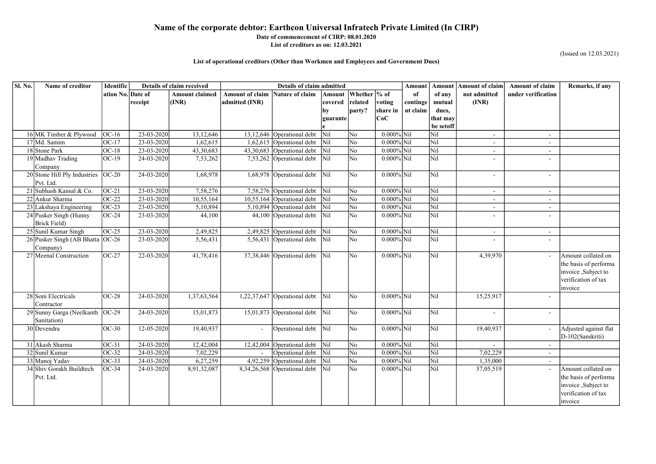## Date of commencement of CIRP: 08.01.2020

List of creditors as on: 12.03.2021

| Sl. No. | Name of creditor                    | <b>Identific</b>  | Details of claim received |                       | Details of claim admitted |                                                            |                         |                        |               |          |                         | Amount   Amount of claim | <b>Amount of claim</b>   | Remarks, if any       |
|---------|-------------------------------------|-------------------|---------------------------|-----------------------|---------------------------|------------------------------------------------------------|-------------------------|------------------------|---------------|----------|-------------------------|--------------------------|--------------------------|-----------------------|
|         |                                     | ation No. Date of |                           | <b>Amount claimed</b> | <b>Amount of claim</b>    | Nature of claim                                            |                         | Amount   Whether  % of |               | -of      | of any                  | not admitted             | under verification       |                       |
|         |                                     |                   | receipt                   | (INR)                 | admitted (INR)            |                                                            | covered                 | related                | voting        | continge | mutual                  | (INR)                    |                          |                       |
|         |                                     |                   |                           |                       |                           |                                                            |                         | party?                 | share in      | nt claim | dues,                   |                          |                          |                       |
|         |                                     |                   |                           |                       |                           |                                                            | guarante                |                        | CoC           |          | that may                |                          |                          |                       |
|         |                                     |                   |                           |                       |                           |                                                            |                         |                        |               |          | be setoff               |                          |                          |                       |
|         | 16 MK Timber & Plywood              | $OC-16$           | 23-03-2020                | 13, 12, 646           |                           | 13,12,646 Operational debt                                 | Nil                     | No                     | $0.000\%$ Nil |          | Nil                     | $\overline{\phantom{a}}$ | $\sim$                   |                       |
|         | 17 Md. Samim                        | $OC-17$           | 23-03-2020                | 1,62,615              |                           | 1,62,615 Operational debt                                  | $\overline{\text{Nil}}$ | N <sub>o</sub>         | $0.000\%$ Nil |          | Nil                     |                          | $\sim$                   |                       |
|         | 18 Stone Park                       | $OC-18$           | 23-03-2020                | 43,30,683             |                           | 43,30,683 Operational debt                                 | N <sub>il</sub>         | N <sub>o</sub>         | $0.000\%$ Nil |          | Nil                     |                          | $\sim$                   |                       |
|         | 19 Madhav Trading                   | $OC-19$           | 24-03-2020                | 7,53,262              |                           | $7,53,262$ Operational debt                                | Nil                     | N <sub>o</sub>         | $0.000\%$ Nil |          | Nil                     | $\overline{\phantom{a}}$ | $\overline{\phantom{a}}$ |                       |
|         | Company                             |                   |                           |                       |                           |                                                            |                         |                        |               |          |                         |                          |                          |                       |
|         | $20$ Stone Hill Ply Industries      | $OC-20$           | 24-03-2020                | 1,68,978              |                           | 1,68,978 Operational debt                                  | Nil                     | N <sub>o</sub>         | $0.000\%$ Nil |          | Nil                     | $\overline{\phantom{a}}$ | $\overline{\phantom{a}}$ |                       |
|         | Pvt. Ltd.                           |                   |                           |                       |                           |                                                            |                         |                        |               |          |                         |                          |                          |                       |
|         | 21 Subhash Kansal & Co.             | $OC-21$           | 23-03-2020                | 7,58,276              |                           | 7,58,276 Operational debt Nil                              |                         | N <sub>o</sub>         | $0.000\%$ Nil |          | Nil                     | $\overline{\phantom{a}}$ | $\sim$                   |                       |
|         | 22 Ankur Sharma                     | $OC-22$           | 23-03-2020                | 10,55,164             |                           | 10,55,164 Operational debt Nil                             |                         | No                     | $0.000\%$ Nil |          | Nil                     |                          | $\blacksquare$           |                       |
|         | 23 Lakshaya Engineering             | $OC-23$           | 23-03-2020                | 5,10,894              |                           | $5,10,894$ Operational debt                                | N <sub>il</sub>         | No                     | $0.000\%$ Nil |          | Nil                     |                          | $\overline{\phantom{a}}$ |                       |
|         | 24 Pusker Singh (Hunny              | $OC-24$           | 23-03-2020                | 44,100                |                           | 44,100 Operational debt Nil                                |                         | N <sub>o</sub>         | $0.000\%$ Nil |          | Nil                     |                          |                          |                       |
|         | Brick Field)                        |                   |                           |                       |                           |                                                            |                         |                        |               |          |                         |                          |                          |                       |
|         | 25 Sunil Kumar Singh                | $OC-25$           | 23-03-2020                | 2,49,825              |                           | $2,49,825$ Operational debt                                | <b>Nil</b>              | N <sub>o</sub>         | $0.000\%$ Nil |          | Nil                     | $\overline{\phantom{a}}$ | $\sim$                   |                       |
|         | 26 Pusker Singh (AB Bhatta   OC-26  |                   | 23-03-2020                | 5,56,431              |                           | 5,56,431 Operational debt                                  | Nil                     | No                     | $0.000\%$ Nil |          | Nil                     | $\overline{\phantom{a}}$ | $\sim$                   |                       |
|         | Company)                            |                   |                           |                       |                           |                                                            |                         |                        |               |          |                         |                          |                          |                       |
|         | 27 Meenal Construction              | $OC-27$           | 22-03-2020                | 41,78,416             |                           | $37,38,446$ Operational debt                               | Nil                     | N <sub>o</sub>         | $0.000\%$ Nil |          | Nil                     | 4,39,970                 | $\sim$                   | Amount collated on    |
|         |                                     |                   |                           |                       |                           |                                                            |                         |                        |               |          |                         |                          |                          | the basis of performa |
|         |                                     |                   |                           |                       |                           |                                                            |                         |                        |               |          |                         |                          |                          | invoice, Subject to   |
|         |                                     |                   |                           |                       |                           |                                                            |                         |                        |               |          |                         |                          |                          | verification of tax   |
|         |                                     |                   |                           |                       |                           |                                                            |                         |                        |               |          |                         |                          |                          | invoice               |
|         | 28 Soni Electricals                 | $OC-28$           | 24-03-2020                | 1,37,63,564           |                           | 1,22,37,647 Operational debt                               | Nil                     | No                     | $0.000\%$ Nil |          | Nil                     | 15,25,917                |                          |                       |
|         | Contractor                          |                   |                           |                       |                           |                                                            |                         |                        |               |          |                         |                          |                          |                       |
|         | $29$ Sunny Garga (Neelkanth $OC-29$ |                   | 24-03-2020                | 15,01,873             |                           | 15,01,873 Operational debt                                 | $\overline{\text{Nil}}$ | No                     | $0.000\%$ Nil |          | Nil                     | $\overline{\phantom{a}}$ | $\sim$                   |                       |
|         | Sanitation)                         |                   |                           |                       |                           |                                                            |                         |                        |               |          |                         |                          |                          |                       |
|         | $30$ Devendra                       | $OC-30$           | $12 - 05 - 2020$          | 19,40,937             |                           | $\sqrt{\frac{1}{1}}$ Operational debt $\sqrt{\frac{1}{1}}$ |                         | No                     | $0.000\%$ Nil |          | $\vert$ Nil             | 19,40,937                | $\sim$                   | Adjusted against flat |
|         |                                     |                   |                           |                       |                           |                                                            |                         |                        |               |          |                         |                          |                          | D-102(Sanskriti)      |
|         | 31 Akash Sharma                     | $OC-31$           | 24-03-2020                | 12,42,004             |                           | 12,42,004 Operational debt $\vert$ Nil                     |                         | No                     | $0.000\%$ Nil |          | $\vert$ Nil             |                          | $\sim$                   |                       |
|         | 32 Sunil Kumar                      | $OC-32$           | 24-03-2020                | 7,02,229              |                           | Operational debt Nil                                       |                         | N <sub>o</sub>         | $0.000\%$ Nil |          | Nil                     | 7,02,229                 | $\sim$                   |                       |
|         | 33 Manoj Yadav                      | $OC-33$           | $24 - 03 - 2020$          | 6,27,259              |                           | 4,92,259 Operational debt Nil                              |                         | No                     | $0.000\%$ Nil |          | Nil                     | 1,35,000                 |                          |                       |
|         | 34 Shiv Gorakh Buildtech            | $OC-34$           | 24-03-2020                | 8,91,32,087           |                           | 8,34,26,568 Operational debt Nil                           |                         | N <sub>o</sub>         | $0.000\%$ Nil |          | $\overline{\text{Nil}}$ | 57,05,519                |                          | Amount collated on    |
|         | Pvt. Ltd.                           |                   |                           |                       |                           |                                                            |                         |                        |               |          |                         |                          |                          | the basis of performa |
|         |                                     |                   |                           |                       |                           |                                                            |                         |                        |               |          |                         |                          |                          | invoice, Subject to   |
|         |                                     |                   |                           |                       |                           |                                                            |                         |                        |               |          |                         |                          |                          | verification of tax   |
|         |                                     |                   |                           |                       |                           |                                                            |                         |                        |               |          |                         |                          |                          | invoice               |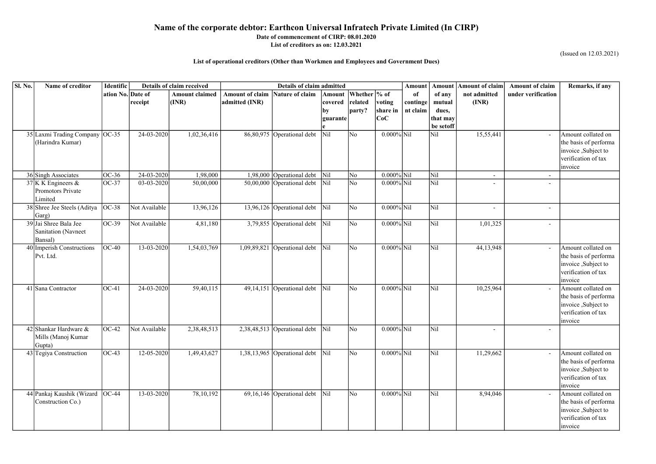#### Date of commencement of CIRP: 08.01.2020 List of creditors as on: 12.03.2021

| Sl. No. | Name of creditor                                         | Identific         | Details of claim received |                                | <b>Details of claim admitted</b>         |                                                 |                                     |                                    |                            |                            | <b>Amount</b>                                      | <b>Amount of claim</b>   | <b>Amount of claim</b>   | Remarks, if any                                                                                      |
|---------|----------------------------------------------------------|-------------------|---------------------------|--------------------------------|------------------------------------------|-------------------------------------------------|-------------------------------------|------------------------------------|----------------------------|----------------------------|----------------------------------------------------|--------------------------|--------------------------|------------------------------------------------------------------------------------------------------|
|         |                                                          | ation No. Date of | receipt                   | <b>Amount claimed</b><br>(INR) | <b>Amount of claim</b><br>admitted (INR) | <b>Nature of claim</b>                          | Amount<br>covered<br>by<br>guarante | Whether \% of<br>related<br>party? | voting<br>share in<br> CoC | 0f<br>continge<br>nt claim | of any<br>mutual<br>dues,<br>that may<br>be setoff | not admitted<br>(INR)    | under verification       |                                                                                                      |
|         | 35 Laxmi Trading Company<br>(Harindra Kumar)             | <b>OC-35</b>      | $\overline{24-03-2020}$   | 1,02,36,416                    |                                          | 86,80,975 Operational debt                      | $\overline{\text{Nil}}$             | No                                 | $0.000\%$ Nil              |                            | Nil                                                | 15,55,441                | $\equiv$                 | Amount collated on<br>the basis of performa<br>invoice, Subject to<br>verification of tax<br>invoice |
|         | 36 Singh Associates                                      | OC-36             | 24-03-2020                | 1,98,000                       |                                          | 1,98,000 Operational debt                       | $\overline{\text{Nil}}$             | No                                 | $0.000\%$ Nil              |                            | Nil                                                | $\overline{\phantom{a}}$ | $\blacksquare$           |                                                                                                      |
|         | $37$ K K Engineers &<br>Promotors Private<br>Limited     | OC-37             | $03-03-2020$              | 50,00,000                      |                                          | $50,00,000$ Operational debt                    | Nil                                 | N <sub>o</sub>                     | $0.000\%$ Nil              |                            | Nil                                                | $\overline{\phantom{0}}$ | $\overline{\phantom{a}}$ |                                                                                                      |
|         | 38 Shree Jee Steels (Aditya<br>Garg)                     | OC-38             | Not Available             | 13,96,126                      |                                          | 13,96,126 Operational debt                      | $\overline{\text{Nil}}$             | No                                 | $0.000\%$ Nil              |                            | Nil                                                | $\overline{\phantom{0}}$ | $\overline{\phantom{a}}$ |                                                                                                      |
|         | 39 Jai Shree Bala Jee<br>Sanitation (Navneet<br>Bansal)  | $OC-39$           | Not Available             | 4,81,180                       |                                          | $3,79,855$ Operational debt                     | Nil                                 | N <sub>o</sub>                     | $0.000\%$ Nil              |                            | Nil                                                | 1,01,325                 | $\blacksquare$           |                                                                                                      |
|         | 40 Imperish Constructions<br>Pvt. Ltd.                   | $OC-40$           | $13 - 03 - 2020$          | 1,54,03,769                    |                                          | 1,09,89,821 Operational debt                    | Nil                                 | No                                 | $0.000\%$ Nil              |                            | Nil                                                | 44,13,948                | $\sim$                   | Amount collated on<br>the basis of performa<br>invoice, Subject to<br>verification of tax<br>invoice |
|         | 41 Sana Contractor                                       | $OC-41$           | $24 - 03 - 2020$          | 59,40,115                      |                                          | 49,14,151 Operational debt                      | Nil                                 | No                                 | $0.000\%$ Nil              |                            | Nil                                                | 10,25,964                | $\blacksquare$           | Amount collated on<br>the basis of performa<br>invoice, Subject to<br>verification of tax<br>invoice |
|         | 42 Shankar Hardware $\&$<br>Mills (Manoj Kumar<br>Gupta) | $OC-42$           | Not Available             | 2,38,48,513                    |                                          | 2,38,48,513 Operational debt Nil                |                                     | No                                 | $0.000\%$ Nil              |                            | Nil                                                | $\overline{\phantom{a}}$ | $\overline{\phantom{a}}$ |                                                                                                      |
|         | 43 Tegiya Construction                                   | $OC-43$           | $12 - 05 - 2020$          | 1,49,43,627                    |                                          | 1,38,13,965 Operational debt $\vert$ Nil        |                                     | No                                 | $0.000\%$ Nil              |                            | Nil                                                | 11,29,662                |                          | Amount collated on<br>the basis of performa<br>invoice, Subject to<br>verification of tax<br>invoice |
|         | 44 Pankaj Kaushik (Wizard   OC-44<br>Construction Co.)   |                   | $13 - 03 - 2020$          | 78, 10, 192                    |                                          | 69,16,146 Operational debt $\boxed{\text{Nil}}$ |                                     | N <sub>o</sub>                     | $0.000\%$ Nil              |                            | Nil                                                | 8,94,046                 | $\blacksquare$           | Amount collated on<br>the basis of performa<br>invoice, Subject to<br>verification of tax<br>invoice |